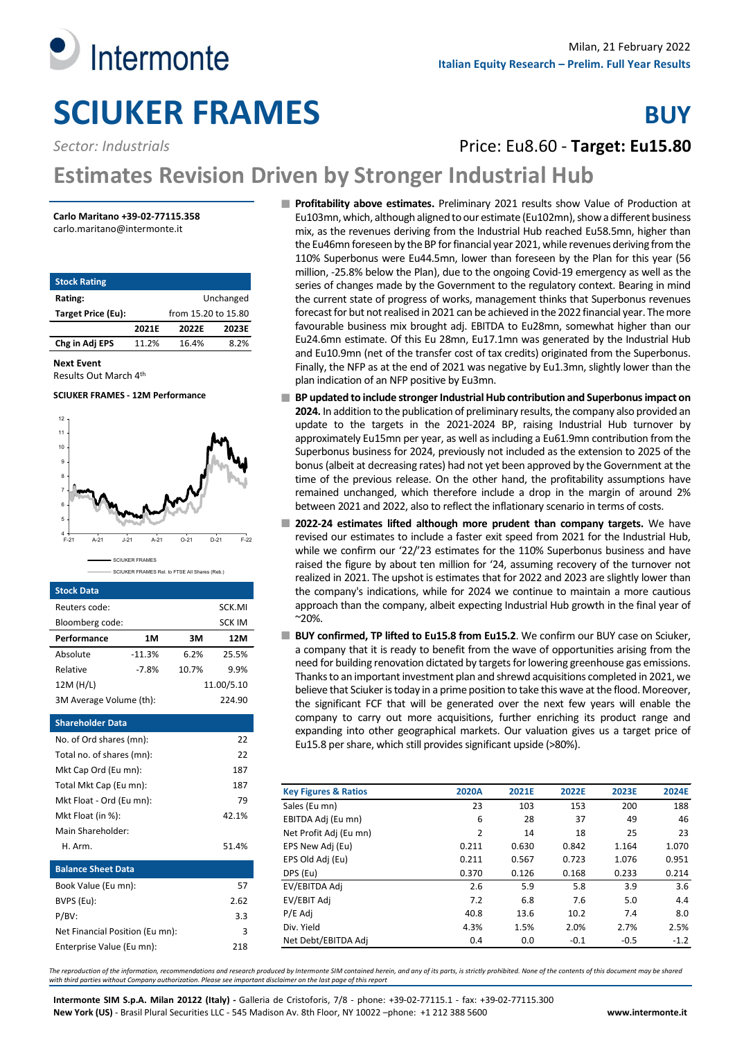

# **SCIUKER FRAMES** BUY

**Sector: Industrials Price: Eu8.60 - Target: Eu15.80** 

# **Estimates Revision Driven by Stronger Industrial Hub**

# **Carlo Maritano +39-02-77115.358**

carlo.maritano@intermonte.it

| <b>Stock Rating</b> |       |                     |           |
|---------------------|-------|---------------------|-----------|
| Rating:             |       |                     | Unchanged |
| Target Price (Eu):  |       | from 15.20 to 15.80 |           |
|                     | 2021E | 2022E               | 2023E     |
| Chg in Adj EPS      | 11.2% | 16.4%               | 8.2%      |
|                     |       |                     |           |

**Next Event**

Results Out March 4th

# **SCIUKER FRAMES - 12M Performance**



## **Stock Data**

| Reuters code:                   |          |       | SCK.MI        |  |
|---------------------------------|----------|-------|---------------|--|
| Bloomberg code:                 |          |       | <b>SCK IM</b> |  |
| Performance                     | 1M       | ЗM    | 12M           |  |
| Absolute                        | $-11.3%$ | 6.2%  | 25.5%         |  |
| Relative                        | $-7.8%$  | 10.7% | 9.9%          |  |
| 12M (H/L)                       |          |       | 11.00/5.10    |  |
| 3M Average Volume (th):         |          |       | 224.90        |  |
| <b>Shareholder Data</b>         |          |       |               |  |
| No. of Ord shares (mn):         |          |       | 22            |  |
| Total no. of shares (mn):       |          |       | 22            |  |
| Mkt Cap Ord (Eu mn):            |          |       | 187           |  |
| Total Mkt Cap (Eu mn):          |          |       | 187           |  |
| Mkt Float - Ord (Eu mn):        |          |       | 79            |  |
| Mkt Float (in %):               |          |       | 42.1%         |  |
| Main Shareholder:               |          |       |               |  |
| H. Arm.                         |          |       | 51.4%         |  |
| <b>Balance Sheet Data</b>       |          |       |               |  |
| Book Value (Eu mn):             |          |       | 57            |  |
| BVPS (Eu):                      |          |       | 2.62          |  |
| $P/BV$ :<br>3.3                 |          |       |               |  |
| Net Financial Position (Eu mn): |          |       | 3             |  |
| Enterprise Value (Eu mn):       |          |       | 218           |  |
|                                 |          |       |               |  |

**Profitability above estimates.** Preliminary 2021 results show Value of Production at Eu103mn, which, although aligned to our estimate (Eu102mn), show a different business mix, as the revenues deriving from the Industrial Hub reached Eu58.5mn, higher than the Eu46mn foreseen by the BP for financial year 2021, while revenues deriving from the 110% Superbonus were Eu44.5mn, lower than foreseen by the Plan for this year (56 million, -25.8% below the Plan), due to the ongoing Covid-19 emergency as well as the series of changes made by the Government to the regulatory context. Bearing in mind the current state of progress of works, management thinks that Superbonus revenues forecast for but not realised in 2021 can be achieved in the 2022 financial year. The more favourable business mix brought adj. EBITDA to Eu28mn, somewhat higher than our Eu24.6mn estimate. Of this Eu 28mn, Eu17.1mn was generated by the Industrial Hub and Eu10.9mn (net of the transfer cost of tax credits) originated from the Superbonus. Finally, the NFP as at the end of 2021 was negative by Eu1.3mn, slightly lower than the plan indication of an NFP positive by Eu3mn.

- BP updated to include stronger Industrial Hub contribution and Superbonus impact on **2024.** In addition to the publication of preliminary results, the company also provided an update to the targets in the 2021-2024 BP, raising Industrial Hub turnover by approximately Eu15mn per year, as well as including a Eu61.9mn contribution from the Superbonus business for 2024, previously not included as the extension to 2025 of the bonus (albeit at decreasing rates) had not yet been approved by the Government at the time of the previous release. On the other hand, the profitability assumptions have remained unchanged, which therefore include a drop in the margin of around 2% between 2021 and 2022, also to reflect the inflationary scenario in terms of costs.
- **2022-24 estimates lifted although more prudent than company targets.** We have revised our estimates to include a faster exit speed from 2021 for the Industrial Hub, while we confirm our '22/'23 estimates for the 110% Superbonus business and have raised the figure by about ten million for '24, assuming recovery of the turnover not realized in 2021. The upshot is estimates that for 2022 and 2023 are slightly lower than the company's indications, while for 2024 we continue to maintain a more cautious approach than the company, albeit expecting Industrial Hub growth in the final year of ~20%.
- **BUY confirmed, TP lifted to Eu15.8 from Eu15.2**. We confirm our BUY case on Sciuker, a company that it is ready to benefit from the wave of opportunities arising from the need for building renovation dictated by targets for lowering greenhouse gas emissions. Thanks to an important investment plan and shrewd acquisitions completed in 2021, we believe that Sciuker is today in a prime position to take this wave at the flood. Moreover, the significant FCF that will be generated over the next few years will enable the company to carry out more acquisitions, further enriching its product range and expanding into other geographical markets. Our valuation gives us a target price of Eu15.8 per share, which still provides significant upside (>80%).

| <b>Key Figures &amp; Ratios</b> | 2020A          | 2021E | 2022E  | 2023E  | 2024E  |
|---------------------------------|----------------|-------|--------|--------|--------|
| Sales (Eu mn)                   | 23             | 103   | 153    | 200    | 188    |
| EBITDA Adj (Eu mn)              | 6              | 28    | 37     | 49     | 46     |
| Net Profit Adj (Eu mn)          | $\overline{2}$ | 14    | 18     | 25     | 23     |
| EPS New Adj (Eu)                | 0.211          | 0.630 | 0.842  | 1.164  | 1.070  |
| EPS Old Adj (Eu)                | 0.211          | 0.567 | 0.723  | 1.076  | 0.951  |
| DPS (Eu)                        | 0.370          | 0.126 | 0.168  | 0.233  | 0.214  |
| EV/EBITDA Adi                   | 2.6            | 5.9   | 5.8    | 3.9    | 3.6    |
| EV/EBIT Adj                     | 7.2            | 6.8   | 7.6    | 5.0    | 4.4    |
| P/E Adj                         | 40.8           | 13.6  | 10.2   | 7.4    | 8.0    |
| Div. Yield                      | 4.3%           | 1.5%  | 2.0%   | 2.7%   | 2.5%   |
| Net Debt/EBITDA Adj             | 0.4            | 0.0   | $-0.1$ | $-0.5$ | $-1.2$ |

*The reproduction of the information, recommendations and research produced by Intermonte SIM contained herein, and any of its parts, is strictly prohibited. None of the contents of this document may be shared with third parties without Company authorization. Please see important disclaimer on the last page of this report*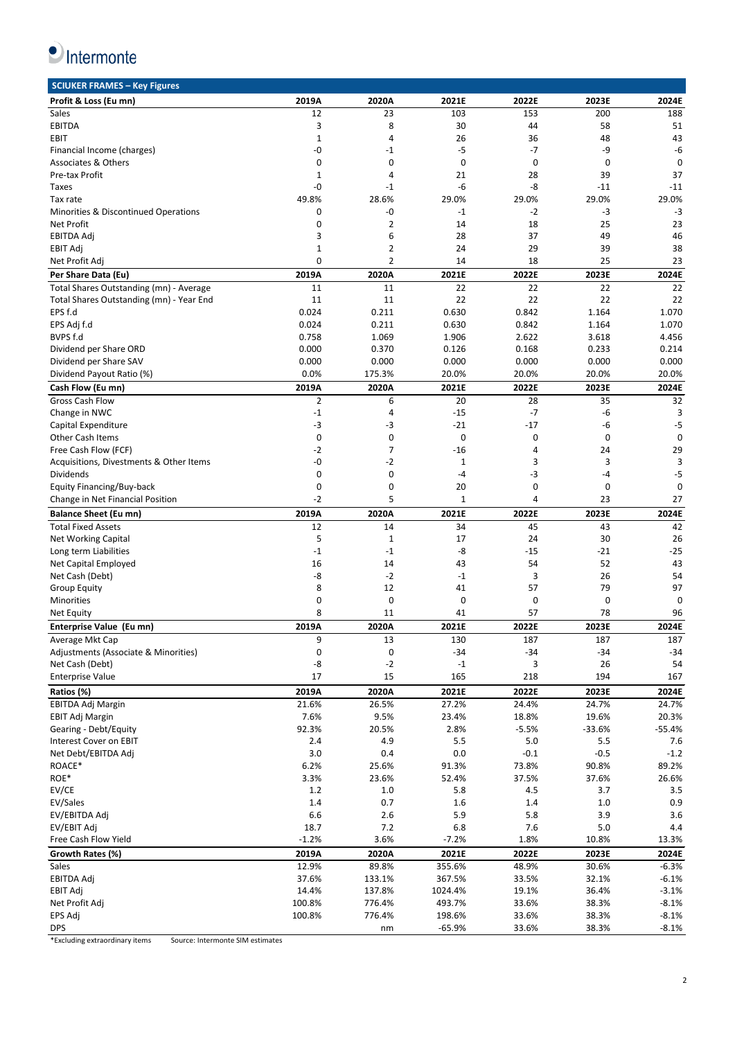

| <b>SCIUKER FRAMES - Key Figures</b>      |                |                |                         |         |             |             |
|------------------------------------------|----------------|----------------|-------------------------|---------|-------------|-------------|
| Profit & Loss (Eu mn)                    | 2019A          | 2020A          | 2021E                   | 2022E   | 2023E       | 2024E       |
| Sales                                    | 12             | 23             | 103                     | 153     | 200         | 188         |
| <b>EBITDA</b>                            | 3              | 8              | 30                      | 44      | 58          | 51          |
| <b>EBIT</b>                              | 1              | $\overline{4}$ | 26                      | 36      | 48          | 43          |
| Financial Income (charges)               | -0             | -1             | $-5$                    | $-7$    | -9          | -6          |
| <b>Associates &amp; Others</b>           | $\mathbf 0$    | 0              | $\mathbf 0$             | 0       | $\mathbf 0$ | $\mathbf 0$ |
| Pre-tax Profit                           | 1              | 4              | 21                      | 28      | 39          | 37          |
| Taxes                                    | -0             | -1             | -6                      | -8      | -11         | $-11$       |
| Tax rate                                 | 49.8%          | 28.6%          | 29.0%                   | 29.0%   | 29.0%       | 29.0%       |
|                                          |                |                |                         |         |             |             |
| Minorities & Discontinued Operations     | 0              | -0             | $-1$                    | $-2$    | -3          | $-3$        |
| <b>Net Profit</b>                        | 0              | $\overline{2}$ | 14                      | 18      | 25          | 23          |
| <b>EBITDA Adj</b>                        | 3              | 6              | 28                      | 37      | 49          | 46          |
| EBIT Adj                                 | $\mathbf 1$    | $\overline{2}$ | 24                      | 29      | 39          | 38          |
| Net Profit Adj                           | 0              | $\overline{2}$ | 14                      | 18      | 25          | 23          |
| Per Share Data (Eu)                      | 2019A          | 2020A          | 2021E                   | 2022E   | 2023E       | 2024E       |
| Total Shares Outstanding (mn) - Average  | 11             | 11             | 22                      | 22      | 22          | 22          |
| Total Shares Outstanding (mn) - Year End | 11             | 11             | 22                      | 22      | 22          | 22          |
| EPS f.d                                  | 0.024          | 0.211          | 0.630                   | 0.842   | 1.164       | 1.070       |
| EPS Adj f.d                              | 0.024          | 0.211          | 0.630                   | 0.842   | 1.164       | 1.070       |
| BVPS f.d                                 | 0.758          | 1.069          | 1.906                   | 2.622   | 3.618       | 4.456       |
| Dividend per Share ORD                   | 0.000          | 0.370          | 0.126                   | 0.168   | 0.233       | 0.214       |
|                                          |                |                |                         |         |             |             |
| Dividend per Share SAV                   | 0.000          | 0.000          | 0.000                   | 0.000   | 0.000       | 0.000       |
| Dividend Payout Ratio (%)                | 0.0%           | 175.3%         | 20.0%                   | 20.0%   | 20.0%       | 20.0%       |
| Cash Flow (Eu mn)                        | 2019A          | 2020A          | 2021E                   | 2022E   | 2023E       | 2024E       |
| <b>Gross Cash Flow</b>                   | $\overline{2}$ | 6              | 20                      | 28      | 35          | 32          |
| Change in NWC                            | $-1$           | 4              | $-15$                   | $-7$    | $-6$        | 3           |
| Capital Expenditure                      | -3             | -3             | $-21$                   | $-17$   | -6          | -5          |
| <b>Other Cash Items</b>                  | 0              | 0              | 0                       | 0       | 0           | $\mathbf 0$ |
| Free Cash Flow (FCF)                     | $-2$           | $\overline{7}$ | $-16$                   | 4       | 24          | 29          |
| Acquisitions, Divestments & Other Items  | -0             | $-2$           | 1                       | 3       | 3           | 3           |
| Dividends                                | 0              | 0              | $-4$                    | $-3$    | $-4$        | $-5$        |
| Equity Financing/Buy-back                | 0              | 0              | 20                      | 0       | $\mathbf 0$ | 0           |
| Change in Net Financial Position         | $-2$           | 5              | $\mathbf 1$             | 4       | 23          | 27          |
|                                          |                |                |                         |         |             |             |
|                                          |                |                |                         |         |             |             |
| <b>Balance Sheet (Eu mn)</b>             | 2019A          | 2020A          | 2021E                   | 2022E   | 2023E       | 2024E       |
| <b>Total Fixed Assets</b>                | 12             | 14             | 34                      | 45      | 43          | 42          |
| <b>Net Working Capital</b>               | 5              | $\mathbf 1$    | 17                      | 24      | 30          | 26          |
| Long term Liabilities                    | $-1$           | $-1$           | -8                      | $-15$   | $-21$       | $-25$       |
| Net Capital Employed                     | 16             | 14             | 43                      | 54      | 52          | 43          |
| Net Cash (Debt)                          | -8             | $-2$           | $-1$                    | 3       | 26          | 54          |
| <b>Group Equity</b>                      | 8              | 12             | 41                      | 57      | 79          | 97          |
| Minorities                               | 0              | 0              | 0                       | 0       | 0           | 0           |
| Net Equity                               | 8              | 11             | 41                      | 57      | 78          | 96          |
|                                          |                |                |                         |         |             |             |
| Enterprise Value (Eu mn)                 | 2019A          | 2020A          | 2021E                   | 2022E   | 2023E       | 2024E       |
| Average Mkt Cap                          | 9              | 13             | 130                     | 187     | 187         | 187         |
| Adjustments (Associate & Minorities)     | $\pmb{0}$      | 0              | $-34$                   | $-34$   | $-34$       | $-34$       |
| Net Cash (Debt)                          | -8             | $-2$           | $^{\mbox{{\small -1}}}$ | 3       | 26          | 54          |
| <b>Enterprise Value</b>                  | 17             | 15             | 165                     | 218     | 194         | 167         |
| Ratios (%)                               | 2019A          | 2020A          | 2021E                   | 2022E   | 2023E       | 2024E       |
| <b>EBITDA Adj Margin</b>                 | 21.6%          | 26.5%          | 27.2%                   | 24.4%   | 24.7%       | 24.7%       |
| EBIT Adj Margin                          | 7.6%           | 9.5%           | 23.4%                   | 18.8%   | 19.6%       | 20.3%       |
| Gearing - Debt/Equity                    | 92.3%          | 20.5%          | 2.8%                    | $-5.5%$ | $-33.6%$    | $-55.4%$    |
|                                          |                |                |                         |         |             |             |
| Interest Cover on EBIT                   | 2.4            | 4.9            | 5.5                     | 5.0     | 5.5         | 7.6         |
| Net Debt/EBITDA Adj                      | 3.0            | 0.4            | 0.0                     | $-0.1$  | $-0.5$      | $-1.2$      |
| ROACE*                                   | 6.2%           | 25.6%          | 91.3%                   | 73.8%   | 90.8%       | 89.2%       |
| ROE*                                     | 3.3%           | 23.6%          | 52.4%                   | 37.5%   | 37.6%       | 26.6%       |
| EV/CE                                    | 1.2            | 1.0            | 5.8                     | 4.5     | 3.7         | 3.5         |
| EV/Sales                                 | 1.4            | 0.7            | 1.6                     | 1.4     | 1.0         | 0.9         |
| EV/EBITDA Adj                            | 6.6            | 2.6            | 5.9                     | 5.8     | 3.9         | 3.6         |
| EV/EBIT Adj                              | 18.7           | 7.2            | 6.8                     | 7.6     | 5.0         | 4.4         |
| Free Cash Flow Yield                     | $-1.2%$        | 3.6%           | $-7.2%$                 | 1.8%    | 10.8%       | 13.3%       |
| Growth Rates (%)                         | 2019A          | 2020A          | 2021E                   | 2022E   | 2023E       | 2024E       |
| Sales                                    | 12.9%          | 89.8%          | 355.6%                  | 48.9%   | 30.6%       | $-6.3%$     |
| EBITDA Adj                               | 37.6%          | 133.1%         | 367.5%                  | 33.5%   | 32.1%       | $-6.1%$     |
| EBIT Adj                                 | 14.4%          | 137.8%         | 1024.4%                 | 19.1%   | 36.4%       | $-3.1%$     |
|                                          | 100.8%         | 776.4%         | 493.7%                  | 33.6%   | 38.3%       | $-8.1%$     |
| Net Profit Adj<br>EPS Adj                | 100.8%         | 776.4%         | 198.6%                  | 33.6%   | 38.3%       | $-8.1%$     |

\*Excluding extraordinary items Source: Intermonte SIM estimates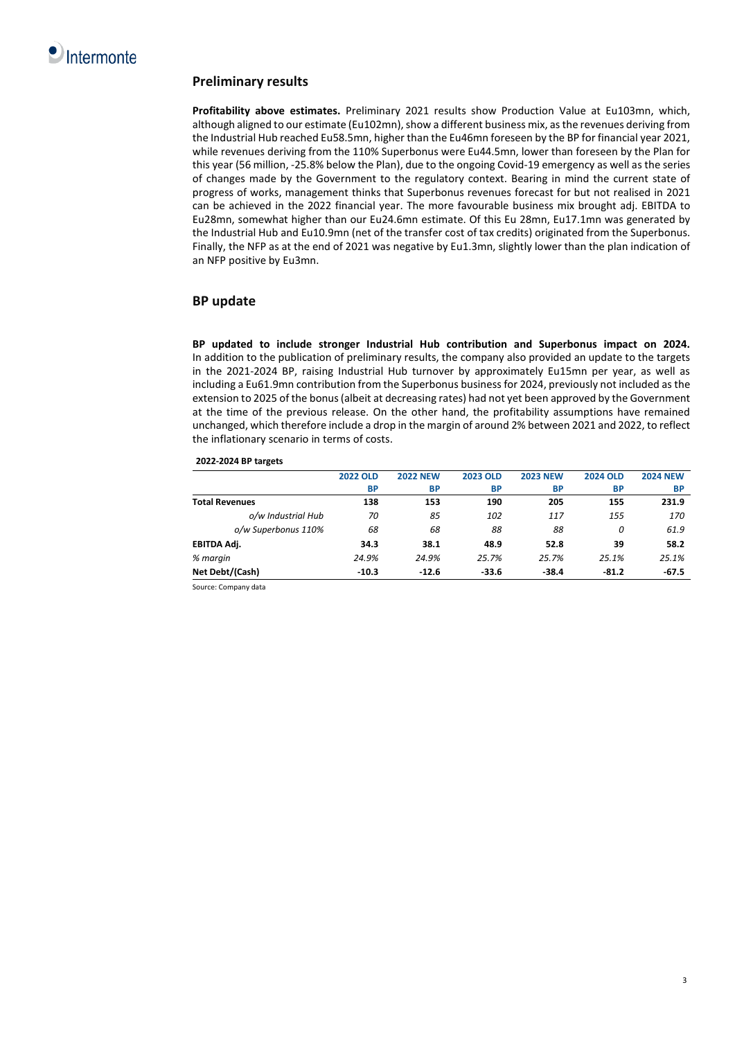

# **Preliminary results**

**Profitability above estimates.** Preliminary 2021 results show Production Value at Eu103mn, which, although aligned to our estimate (Eu102mn), show a different business mix, as the revenues deriving from the Industrial Hub reached Eu58.5mn, higher than the Eu46mn foreseen by the BP for financial year 2021, while revenues deriving from the 110% Superbonus were Eu44.5mn, lower than foreseen by the Plan for this year (56 million, -25.8% below the Plan), due to the ongoing Covid-19 emergency as well as the series of changes made by the Government to the regulatory context. Bearing in mind the current state of progress of works, management thinks that Superbonus revenues forecast for but not realised in 2021 can be achieved in the 2022 financial year. The more favourable business mix brought adj. EBITDA to Eu28mn, somewhat higher than our Eu24.6mn estimate. Of this Eu 28mn, Eu17.1mn was generated by the Industrial Hub and Eu10.9mn (net of the transfer cost of tax credits) originated from the Superbonus. Finally, the NFP as at the end of 2021 was negative by Eu1.3mn, slightly lower than the plan indication of an NFP positive by Eu3mn.

# **BP update**

**BP updated to include stronger Industrial Hub contribution and Superbonus impact on 2024.** In addition to the publication of preliminary results, the company also provided an update to the targets in the 2021-2024 BP, raising Industrial Hub turnover by approximately Eu15mn per year, as well as including a Eu61.9mn contribution from the Superbonus business for 2024, previously not included as the extension to 2025 of the bonus (albeit at decreasing rates) had not yet been approved by the Government at the time of the previous release. On the other hand, the profitability assumptions have remained unchanged, which therefore include a drop in the margin of around 2% between 2021 and 2022, to reflect the inflationary scenario in terms of costs.

# **2022-2024 BP targets**

|                       | <b>2022 OLD</b> | <b>2022 NEW</b> | <b>2023 OLD</b> | <b>2023 NEW</b> | <b>2024 OLD</b> | <b>2024 NEW</b> |
|-----------------------|-----------------|-----------------|-----------------|-----------------|-----------------|-----------------|
|                       | <b>BP</b>       | <b>BP</b>       | <b>BP</b>       | <b>BP</b>       | <b>BP</b>       | ВP              |
| <b>Total Revenues</b> | 138             | 153             | 190             | 205             | 155             | 231.9           |
| o/w Industrial Hub    | 70              | 85              | 102             | 117             | 155             | 170             |
| o/w Superbonus 110%   | 68              | 68              | 88              | 88              | 0               | 61.9            |
| EBITDA Adj.           | 34.3            | 38.1            | 48.9            | 52.8            | 39              | 58.2            |
| % margin              | 24.9%           | 24.9%           | 25.7%           | 25.7%           | 25.1%           | 25.1%           |
| Net Debt/(Cash)       | $-10.3$         | $-12.6$         | $-33.6$         | $-38.4$         | $-81.2$         | $-67.5$         |

Source: Company data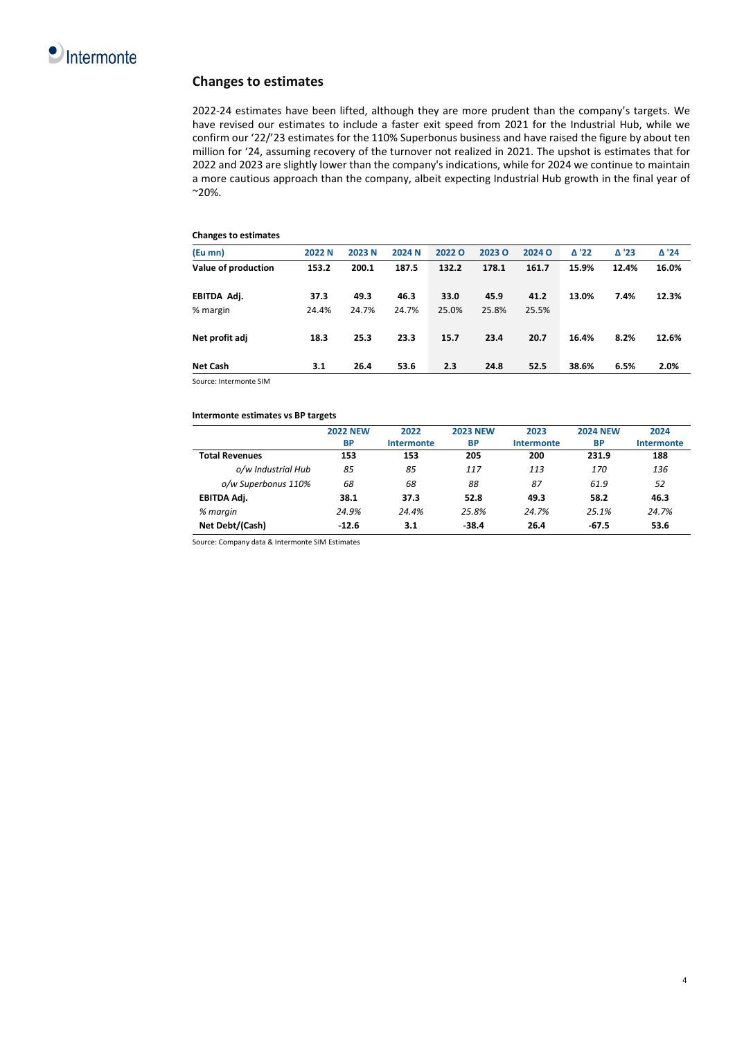

# **Changes to estimates**

2022-24 estimates have been lifted, although they are more prudent than the company's targets. We have revised our estimates to include a faster exit speed from 2021 for the Industrial Hub, while we confirm our '22/'23 estimates for the 110% Superbonus business and have raised the figure by about ten million for '24, assuming recovery of the turnover not realized in 2021. The upshot is estimates that for 2022 and 2023 are slightly lower than the company's indications, while for 2024 we continue to maintain a more cautious approach than the company, albeit expecting Industrial Hub growth in the final year of  $^{\sim}$ 20%.

# **Changes to estimates**

| (Eu mn)             | 2022 N | 2023 N | 2024 N | 20220 | <b>2023 O</b> | 2024 O | $\triangle$ '22 | $\Delta$ '23 | $\Delta$ '24 |
|---------------------|--------|--------|--------|-------|---------------|--------|-----------------|--------------|--------------|
| Value of production | 153.2  | 200.1  | 187.5  | 132.2 | 178.1         | 161.7  | 15.9%           | 12.4%        | 16.0%        |
| EBITDA Adj.         | 37.3   | 49.3   | 46.3   | 33.0  | 45.9          | 41.2   | 13.0%           | 7.4%         | 12.3%        |
| % margin            | 24.4%  | 24.7%  | 24.7%  | 25.0% | 25.8%         | 25.5%  |                 |              |              |
| Net profit adj      | 18.3   | 25.3   | 23.3   | 15.7  | 23.4          | 20.7   | 16.4%           | 8.2%         | 12.6%        |
| <b>Net Cash</b>     | 3.1    | 26.4   | 53.6   | 2.3   | 24.8          | 52.5   | 38.6%           | 6.5%         | 2.0%         |

Source: Intermonte SIM

# **Intermonte estimates vs BP targets**

|                       | <b>2022 NEW</b> | 2022       | <b>2023 NEW</b> | 2023              | <b>2024 NEW</b> | 2024       |
|-----------------------|-----------------|------------|-----------------|-------------------|-----------------|------------|
|                       | <b>BP</b>       | Intermonte | <b>BP</b>       | <b>Intermonte</b> | BP              | Intermonte |
| <b>Total Revenues</b> | 153             | 153        | 205             | 200               | 231.9           | 188        |
| o/w Industrial Hub    | 85              | 85         | 117             | 113               | 170             | 136        |
| o/w Superbonus 110%   | 68              | 68         | 88              | 87                | 61.9            | 52         |
| EBITDA Adj.           | 38.1            | 37.3       | 52.8            | 49.3              | 58.2            | 46.3       |
| % margin              | 24.9%           | 24.4%      | 25.8%           | 24.7%             | 25.1%           | 24.7%      |
| Net Debt/(Cash)       | $-12.6$         | 3.1        | $-38.4$         | 26.4              | $-67.5$         | 53.6       |

Source: Company data & Intermonte SIM Estimates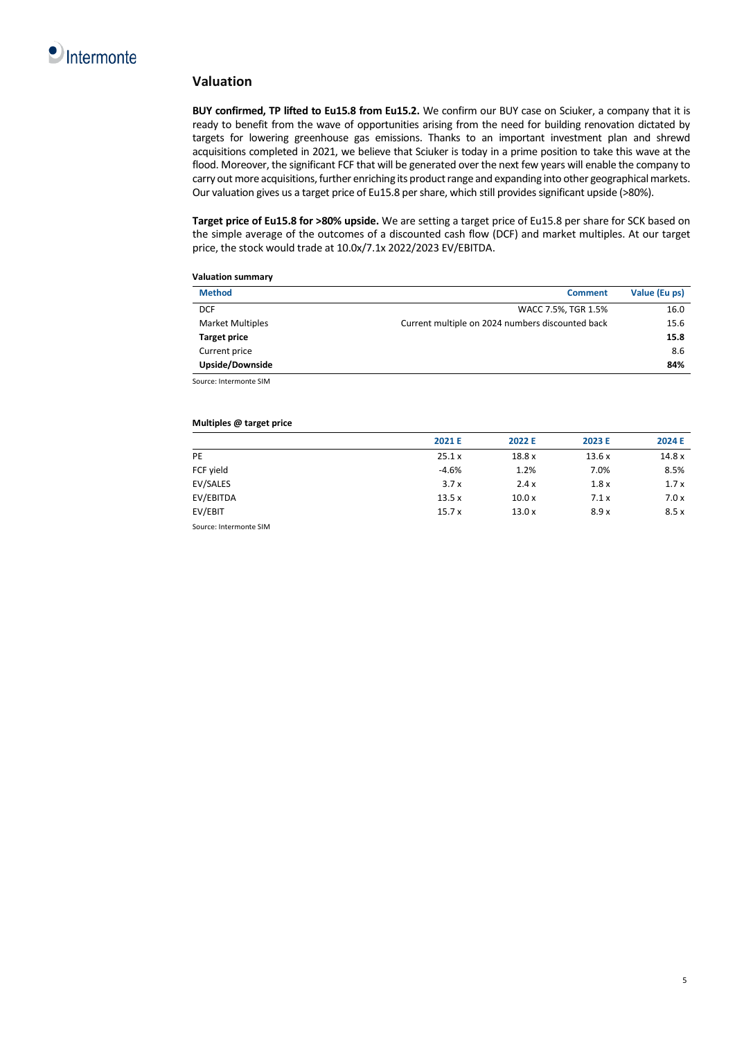

# **Valuation**

**BUY confirmed, TP lifted to Eu15.8 from Eu15.2.** We confirm our BUY case on Sciuker, a company that it is ready to benefit from the wave of opportunities arising from the need for building renovation dictated by targets for lowering greenhouse gas emissions. Thanks to an important investment plan and shrewd acquisitions completed in 2021, we believe that Sciuker is today in a prime position to take this wave at the flood. Moreover, the significant FCF that will be generated over the next few years will enable the company to carry out more acquisitions, further enriching its product range and expanding into other geographical markets. Our valuation gives us a target price of Eu15.8 per share, which still provides significant upside (>80%).

**Target price of Eu15.8 for >80% upside.** We are setting a target price of Eu15.8 per share for SCK based on the simple average of the outcomes of a discounted cash flow (DCF) and market multiples. At our target price, the stock would trade at 10.0x/7.1x 2022/2023 EV/EBITDA.

**Valuation summary** 

| <b>Method</b>           | <b>Comment</b>                                   | Value (Eu ps) |
|-------------------------|--------------------------------------------------|---------------|
| <b>DCF</b>              | WACC 7.5%, TGR 1.5%                              | 16.0          |
| <b>Market Multiples</b> | Current multiple on 2024 numbers discounted back | 15.6          |
| <b>Target price</b>     |                                                  | 15.8          |
| Current price           |                                                  | 8.6           |
| Upside/Downside         |                                                  | 84%           |
| Source: Intermonte SIM  |                                                  |               |

# **Multiples @ target price**

|           | 2021 E  | 2022 E | 2023 E | 2024 E |
|-----------|---------|--------|--------|--------|
| PE        | 25.1x   | 18.8x  | 13.6x  | 14.8x  |
| FCF yield | $-4.6%$ | 1.2%   | 7.0%   | 8.5%   |
| EV/SALES  | 3.7x    | 2.4x   | 1.8x   | 1.7x   |
| EV/EBITDA | 13.5x   | 10.0x  | 7.1x   | 7.0x   |
| EV/EBIT   | 15.7x   | 13.0x  | 8.9x   | 8.5x   |

Source: Intermonte SIM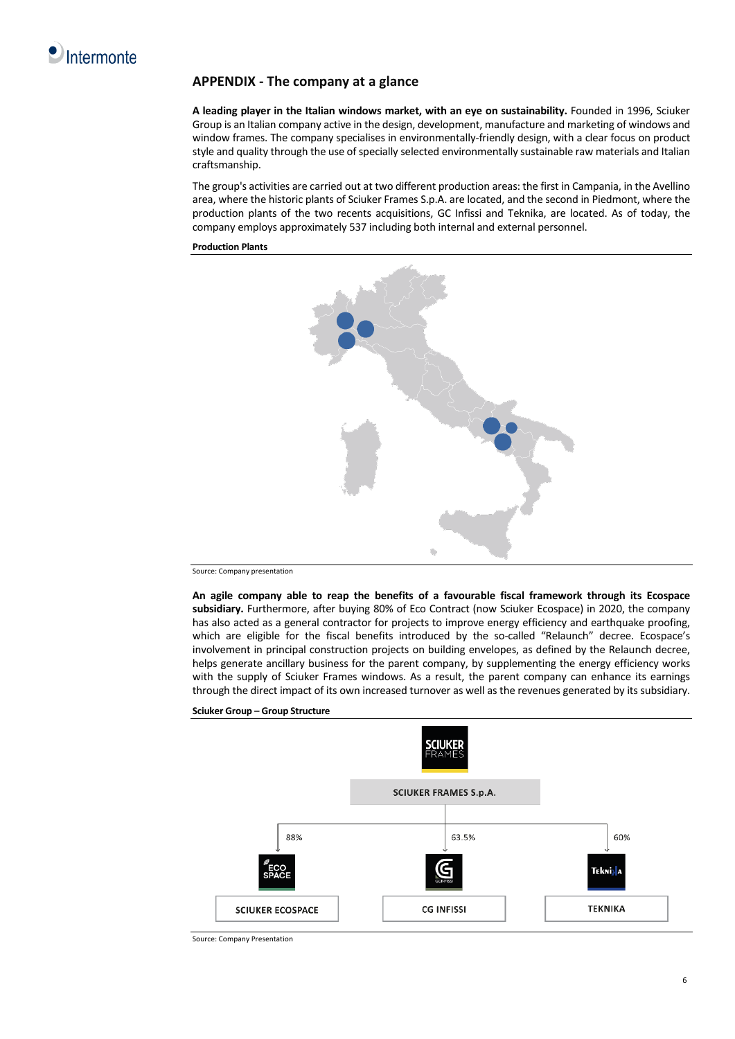

# **APPENDIX - The company at a glance**

**A leading player in the Italian windows market, with an eye on sustainability.** Founded in 1996, Sciuker Group is an Italian company active in the design, development, manufacture and marketing of windows and window frames. The company specialises in environmentally-friendly design, with a clear focus on product style and quality through the use of specially selected environmentally sustainable raw materials and Italian craftsmanship.

The group's activities are carried out at two different production areas: the first in Campania, in the Avellino area, where the historic plants of Sciuker Frames S.p.A. are located, and the second in Piedmont, where the production plants of the two recents acquisitions, GC Infissi and Teknika, are located. As of today, the company employs approximately 537 including both internal and external personnel.

**Production Plants**



Source: Company presentation

**An agile company able to reap the benefits of a favourable fiscal framework through its Ecospace subsidiary.** Furthermore, after buying 80% of Eco Contract (now Sciuker Ecospace) in 2020, the company has also acted as a general contractor for projects to improve energy efficiency and earthquake proofing, which are eligible for the fiscal benefits introduced by the so-called "Relaunch" decree. Ecospace's involvement in principal construction projects on building envelopes, as defined by the Relaunch decree, helps generate ancillary business for the parent company, by supplementing the energy efficiency works with the supply of Sciuker Frames windows. As a result, the parent company can enhance its earnings through the direct impact of its own increased turnover as well as the revenues generated by its subsidiary.



**Sciuker Group – Group Structure**

Source: Company Presentation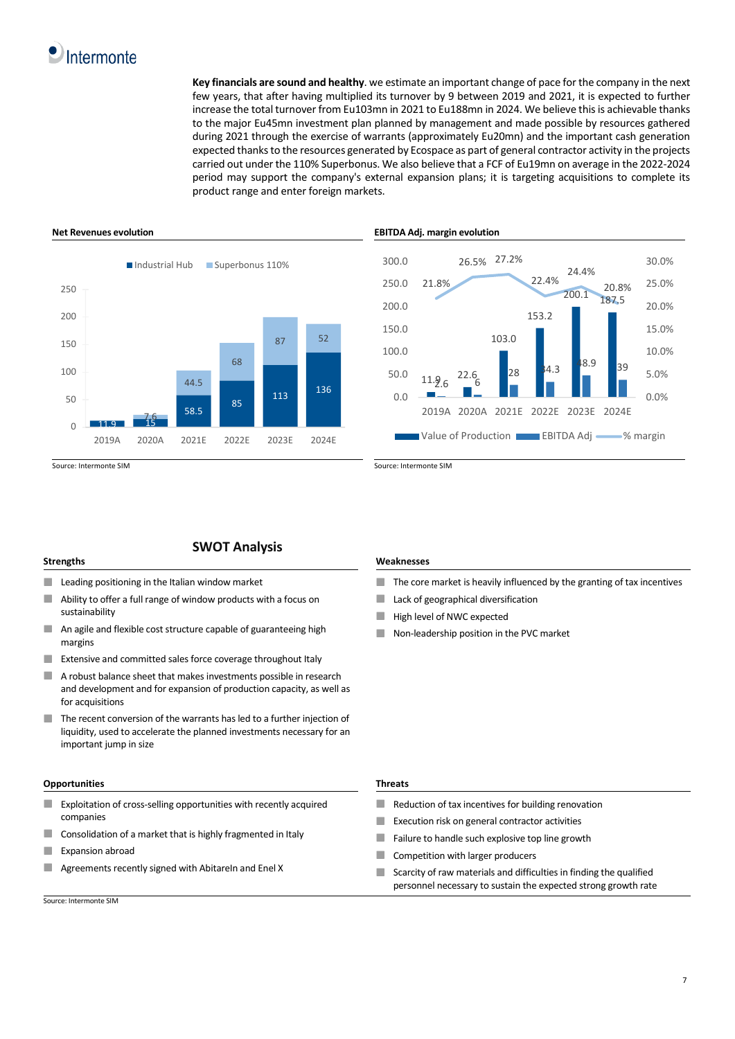# Intermonte

**Key financials are sound and healthy**. we estimate an important change of pace for the company in the next few years, that after having multiplied its turnover by 9 between 2019 and 2021, it is expected to further increase the total turnover from Eu103mn in 2021 to Eu188mn in 2024. We believe this is achievable thanks to the major Eu45mn investment plan planned by management and made possible by resources gathered during 2021 through the exercise of warrants (approximately Eu20mn) and the important cash generation expected thanks to the resources generated by Ecospace as part of general contractor activity in the projects carried out under the 110% Superbonus. We also believe that a FCF of Eu19mn on average in the 2022-2024 period may support the company's external expansion plans; it is targeting acquisitions to complete its product range and enter foreign markets.



# **SWOT Analysis**

- ٠ Leading positioning in the Italian window market
- Ability to offer a full range of window products with a focus on sustainability
- × An agile and flexible cost structure capable of guaranteeing high margins
- $\mathbf{r}$ Extensive and committed sales force coverage throughout Italy
- п A robust balance sheet that makes investments possible in research and development and for expansion of production capacity, as well as for acquisitions
- п The recent conversion of the warrants has led to a further injection of liquidity, used to accelerate the planned investments necessary for an important jump in size

## **Opportunities Threats**

- $\mathbf{r}$ Exploitation of cross-selling opportunities with recently acquired companies
- Consolidation of a market that is highly fragmented in Italy п
- п Expansion abroad
- п Agreements recently signed with AbitareIn and Enel X

Source: Intermonte SIM

## **Net Revenues evolution EBITDA Adj. margin evolution**



## **Strengths Weaknesses**

- m. The core market is heavily influenced by the granting of tax incentives
- Lack of geographical diversification ×
- a. High level of NWC expected
- Non-leadership position in the PVC market

- $\mathcal{L}$ Reduction of tax incentives for building renovation
- **COL** Execution risk on general contractor activities
- × Failure to handle such explosive top line growth
- п Competition with larger producers
- Scarcity of raw materials and difficulties in finding the qualified × personnel necessary to sustain the expected strong growth rate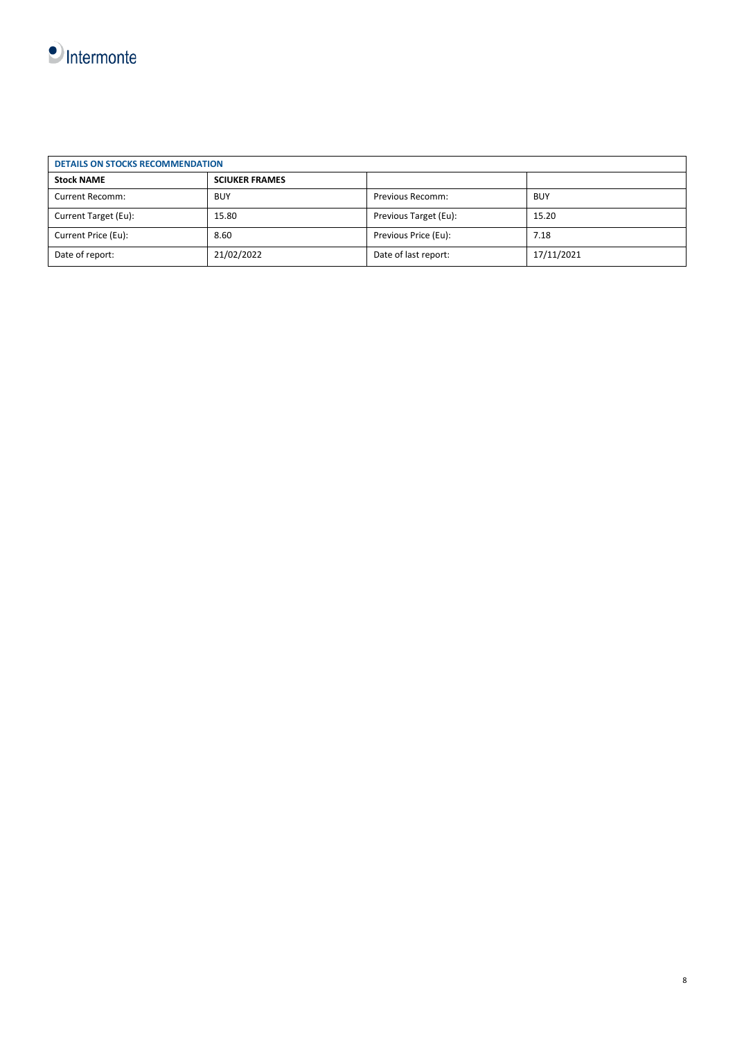

| <b>DETAILS ON STOCKS RECOMMENDATION</b> |                       |                         |            |
|-----------------------------------------|-----------------------|-------------------------|------------|
| <b>Stock NAME</b>                       | <b>SCIUKER FRAMES</b> |                         |            |
| Current Recomm:                         | <b>BUY</b>            | <b>Previous Recomm:</b> | <b>BUY</b> |
| Current Target (Eu):                    | 15.80                 | Previous Target (Eu):   | 15.20      |
| Current Price (Eu):                     | 8.60                  | Previous Price (Eu):    | 7.18       |
| Date of report:                         | 21/02/2022            | Date of last report:    | 17/11/2021 |